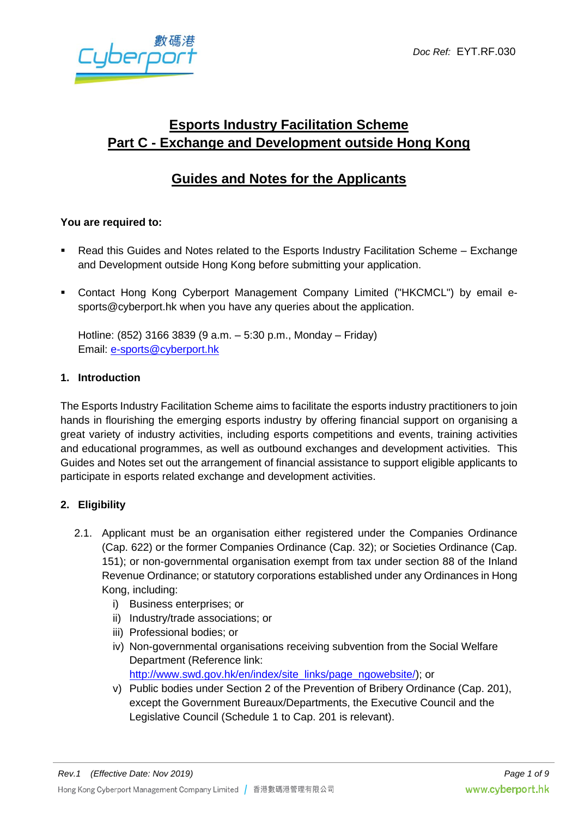

# **Esports Industry Facilitation Scheme Part C - Exchange and Development outside Hong Kong**

## **Guides and Notes for the Applicants**

## **You are required to:**

- Read this Guides and Notes related to the Esports Industry Facilitation Scheme Exchange and Development outside Hong Kong before submitting your application.
- Contact Hong Kong Cyberport Management Company Limited ("HKCMCL") by email esports@cyberport.hk when you have any queries about the application.

Hotline: (852) 3166 3839 (9 a.m. – 5:30 p.m., Monday – Friday) Email: [e-sports@cyberport.hk](mailto:e-sports@cyberport.hk)

#### **1. Introduction**

The Esports Industry Facilitation Scheme aims to facilitate the esports industry practitioners to join hands in flourishing the emerging esports industry by offering financial support on organising a great variety of industry activities, including esports competitions and events, training activities and educational programmes, as well as outbound exchanges and development activities. This Guides and Notes set out the arrangement of financial assistance to support eligible applicants to participate in esports related exchange and development activities.

## **2. Eligibility**

- 2.1. Applicant must be an organisation either registered under the Companies Ordinance (Cap. 622) or the former Companies Ordinance (Cap. 32); or Societies Ordinance (Cap. 151); or non-governmental organisation exempt from tax under section 88 of the Inland Revenue Ordinance; or statutory corporations established under any Ordinances in Hong Kong, including:
	- i) Business enterprises; or
	- ii) Industry/trade associations; or
	- iii) Professional bodies; or
	- iv) Non-governmental organisations receiving subvention from the Social Welfare Department (Reference link: [http://www.swd.gov.hk/en/index/site\\_links/page\\_ngowebsite/\)](http://www.swd.gov.hk/en/index/site_links/page_ngowebsite/); or
	- v) Public bodies under Section 2 of the Prevention of Bribery Ordinance (Cap. 201), except the Government Bureaux/Departments, the Executive Council and the Legislative Council (Schedule 1 to Cap. 201 is relevant).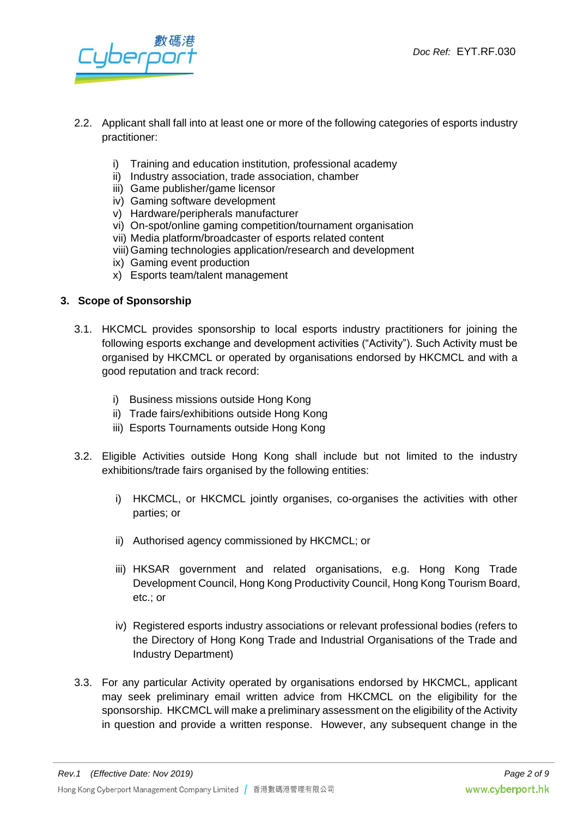iberpe

- 2.2. Applicant shall fall into at least one or more of the following categories of esports industry practitioner:
	- i) Training and education institution, professional academy
	- ii) Industry association, trade association, chamber
	- iii) Game publisher/game licensor
	- iv) Gaming software development
	- v) Hardware/peripherals manufacturer
	- vi) On-spot/online gaming competition/tournament organisation
	- vii) Media platform/broadcaster of esports related content
	- viii)Gaming technologies application/research and development
	- ix) Gaming event production
	- x) Esports team/talent management

#### **3. Scope of Sponsorship**

- 3.1. HKCMCL provides sponsorship to local esports industry practitioners for joining the following esports exchange and development activities ("Activity"). Such Activity must be organised by HKCMCL or operated by organisations endorsed by HKCMCL and with a good reputation and track record:
	- i) Business missions outside Hong Kong
	- ii) Trade fairs/exhibitions outside Hong Kong
	- iii) Esports Tournaments outside Hong Kong
- 3.2. Eligible Activities outside Hong Kong shall include but not limited to the industry exhibitions/trade fairs organised by the following entities:
	- i) HKCMCL, or HKCMCL jointly organises, co-organises the activities with other parties; or
	- ii) Authorised agency commissioned by HKCMCL; or
	- iii) HKSAR government and related organisations, e.g. Hong Kong Trade Development Council, Hong Kong Productivity Council, Hong Kong Tourism Board, etc.; or
	- iv) Registered esports industry associations or relevant professional bodies (refers to the Directory of Hong Kong Trade and Industrial Organisations of the Trade and Industry Department)
- 3.3. For any particular Activity operated by organisations endorsed by HKCMCL, applicant may seek preliminary email written advice from HKCMCL on the eligibility for the sponsorship. HKCMCL will make a preliminary assessment on the eligibility of the Activity in question and provide a written response. However, any subsequent change in the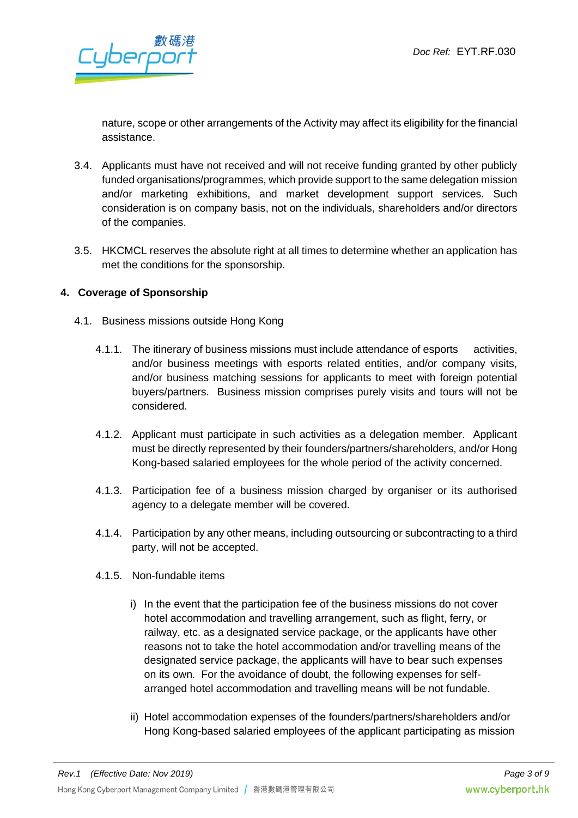

nature, scope or other arrangements of the Activity may affect its eligibility for the financial assistance.

- 3.4. Applicants must have not received and will not receive funding granted by other publicly funded organisations/programmes, which provide support to the same delegation mission and/or marketing exhibitions, and market development support services. Such consideration is on company basis, not on the individuals, shareholders and/or directors of the companies.
- 3.5. HKCMCL reserves the absolute right at all times to determine whether an application has met the conditions for the sponsorship.

#### **4. Coverage of Sponsorship**

- 4.1. Business missions outside Hong Kong
	- 4.1.1. The itinerary of business missions must include attendance of esports activities, and/or business meetings with esports related entities, and/or company visits, and/or business matching sessions for applicants to meet with foreign potential buyers/partners. Business mission comprises purely visits and tours will not be considered.
	- 4.1.2. Applicant must participate in such activities as a delegation member. Applicant must be directly represented by their founders/partners/shareholders, and/or Hong Kong-based salaried employees for the whole period of the activity concerned.
	- 4.1.3. Participation fee of a business mission charged by organiser or its authorised agency to a delegate member will be covered.
	- 4.1.4. Participation by any other means, including outsourcing or subcontracting to a third party, will not be accepted.
	- 4.1.5. Non-fundable items
		- i) In the event that the participation fee of the business missions do not cover hotel accommodation and travelling arrangement, such as flight, ferry, or railway, etc. as a designated service package, or the applicants have other reasons not to take the hotel accommodation and/or travelling means of the designated service package, the applicants will have to bear such expenses on its own. For the avoidance of doubt, the following expenses for selfarranged hotel accommodation and travelling means will be not fundable.
		- ii) Hotel accommodation expenses of the founders/partners/shareholders and/or Hong Kong-based salaried employees of the applicant participating as mission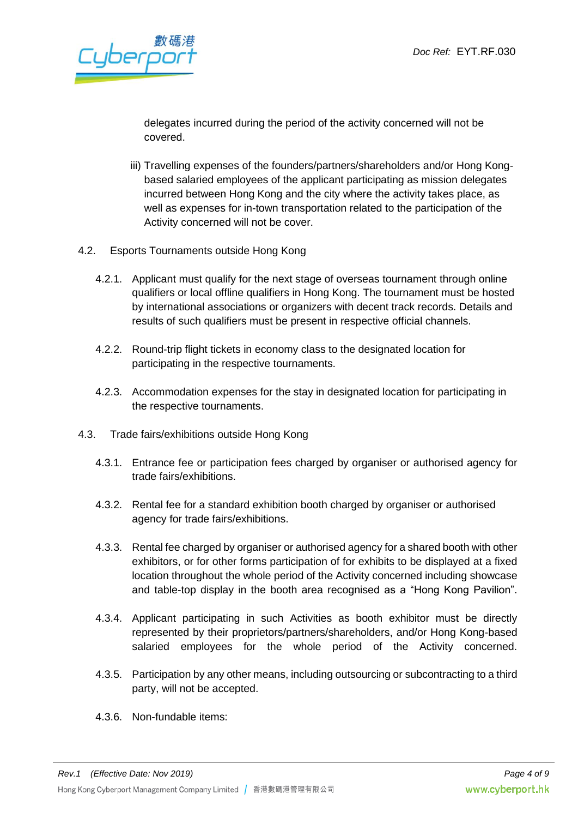Jbere

delegates incurred during the period of the activity concerned will not be covered.

- iii) Travelling expenses of the founders/partners/shareholders and/or Hong Kongbased salaried employees of the applicant participating as mission delegates incurred between Hong Kong and the city where the activity takes place, as well as expenses for in-town transportation related to the participation of the Activity concerned will not be cover.
- 4.2. Esports Tournaments outside Hong Kong
	- 4.2.1. Applicant must qualify for the next stage of overseas tournament through online qualifiers or local offline qualifiers in Hong Kong. The tournament must be hosted by international associations or organizers with decent track records. Details and results of such qualifiers must be present in respective official channels.
	- 4.2.2. Round-trip flight tickets in economy class to the designated location for participating in the respective tournaments.
	- 4.2.3. Accommodation expenses for the stay in designated location for participating in the respective tournaments.
- 4.3. Trade fairs/exhibitions outside Hong Kong
	- 4.3.1. Entrance fee or participation fees charged by organiser or authorised agency for trade fairs/exhibitions.
	- 4.3.2. Rental fee for a standard exhibition booth charged by organiser or authorised agency for trade fairs/exhibitions.
	- 4.3.3. Rental fee charged by organiser or authorised agency for a shared booth with other exhibitors, or for other forms participation of for exhibits to be displayed at a fixed location throughout the whole period of the Activity concerned including showcase and table-top display in the booth area recognised as a "Hong Kong Pavilion".
	- 4.3.4. Applicant participating in such Activities as booth exhibitor must be directly represented by their proprietors/partners/shareholders, and/or Hong Kong-based salaried employees for the whole period of the Activity concerned.
	- 4.3.5. Participation by any other means, including outsourcing or subcontracting to a third party, will not be accepted.
	- 4.3.6. Non-fundable items: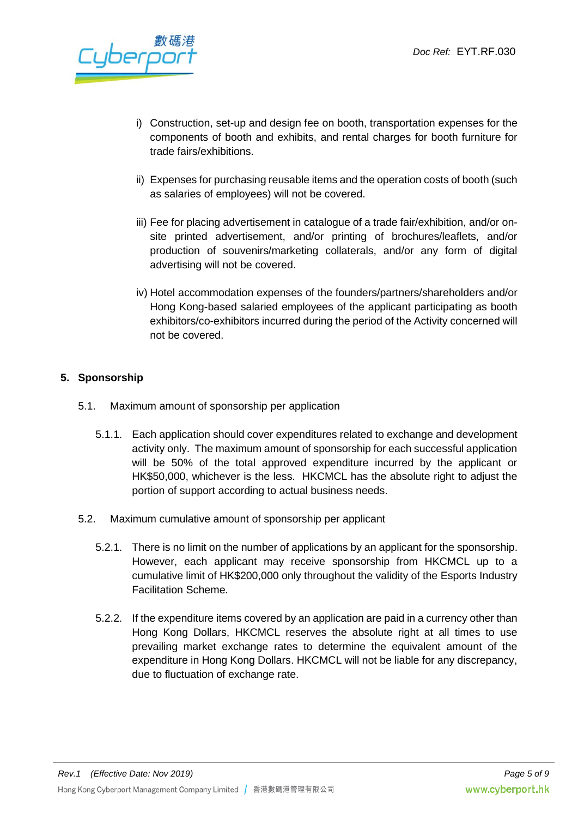berno

- i) Construction, set-up and design fee on booth, transportation expenses for the components of booth and exhibits, and rental charges for booth furniture for trade fairs/exhibitions.
- ii) Expenses for purchasing reusable items and the operation costs of booth (such as salaries of employees) will not be covered.
- iii) Fee for placing advertisement in catalogue of a trade fair/exhibition, and/or onsite printed advertisement, and/or printing of brochures/leaflets, and/or production of souvenirs/marketing collaterals, and/or any form of digital advertising will not be covered.
- iv) Hotel accommodation expenses of the founders/partners/shareholders and/or Hong Kong-based salaried employees of the applicant participating as booth exhibitors/co-exhibitors incurred during the period of the Activity concerned will not be covered.

## **5. Sponsorship**

- 5.1. Maximum amount of sponsorship per application
	- 5.1.1. Each application should cover expenditures related to exchange and development activity only. The maximum amount of sponsorship for each successful application will be 50% of the total approved expenditure incurred by the applicant or HK\$50,000, whichever is the less. HKCMCL has the absolute right to adjust the portion of support according to actual business needs.
- 5.2. Maximum cumulative amount of sponsorship per applicant
	- 5.2.1. There is no limit on the number of applications by an applicant for the sponsorship. However, each applicant may receive sponsorship from HKCMCL up to a cumulative limit of HK\$200,000 only throughout the validity of the Esports Industry Facilitation Scheme.
	- 5.2.2. If the expenditure items covered by an application are paid in a currency other than Hong Kong Dollars, HKCMCL reserves the absolute right at all times to use prevailing market exchange rates to determine the equivalent amount of the expenditure in Hong Kong Dollars. HKCMCL will not be liable for any discrepancy, due to fluctuation of exchange rate.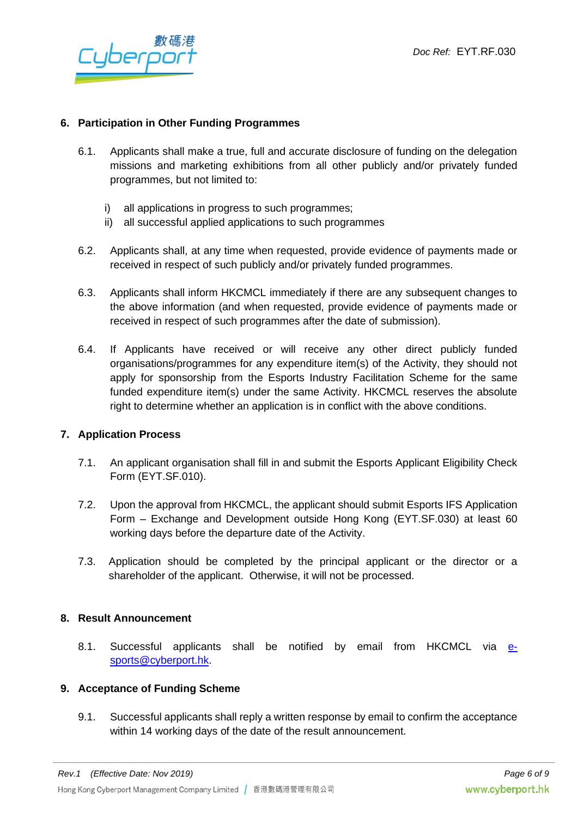

#### **6. Participation in Other Funding Programmes**

- 6.1. Applicants shall make a true, full and accurate disclosure of funding on the delegation missions and marketing exhibitions from all other publicly and/or privately funded programmes, but not limited to:
	- i) all applications in progress to such programmes;
	- ii) all successful applied applications to such programmes
- 6.2. Applicants shall, at any time when requested, provide evidence of payments made or received in respect of such publicly and/or privately funded programmes.
- 6.3. Applicants shall inform HKCMCL immediately if there are any subsequent changes to the above information (and when requested, provide evidence of payments made or received in respect of such programmes after the date of submission).
- 6.4. If Applicants have received or will receive any other direct publicly funded organisations/programmes for any expenditure item(s) of the Activity, they should not apply for sponsorship from the Esports Industry Facilitation Scheme for the same funded expenditure item(s) under the same Activity. HKCMCL reserves the absolute right to determine whether an application is in conflict with the above conditions.

#### **7. Application Process**

- 7.1. An applicant organisation shall fill in and submit the Esports Applicant Eligibility Check Form (EYT.SF.010).
- 7.2. Upon the approval from HKCMCL, the applicant should submit Esports IFS Application Form – Exchange and Development outside Hong Kong (EYT.SF.030) at least 60 working days before the departure date of the Activity.
- 7.3. Application should be completed by the principal applicant or the director or a shareholder of the applicant. Otherwise, it will not be processed.

#### **8. Result Announcement**

8.1. Successful applicants shall be notified by email from HKCMCL via [e](file://///fsi-storage/YouthTeam/E-sports/Scheme/EIFS%20&%20EIS%20GN,%20Forms/EIS%20&%20Internship%20Scheme%20New%20Form%20Edit/Batch%203/Scheme%20C/e-sports@cyberport.hk)[sports@cyberport.hk.](file://///fsi-storage/YouthTeam/E-sports/Scheme/EIFS%20&%20EIS%20GN,%20Forms/EIS%20&%20Internship%20Scheme%20New%20Form%20Edit/Batch%203/Scheme%20C/e-sports@cyberport.hk)

#### **9. Acceptance of Funding Scheme**

9.1. Successful applicants shall reply a written response by email to confirm the acceptance within 14 working days of the date of the result announcement.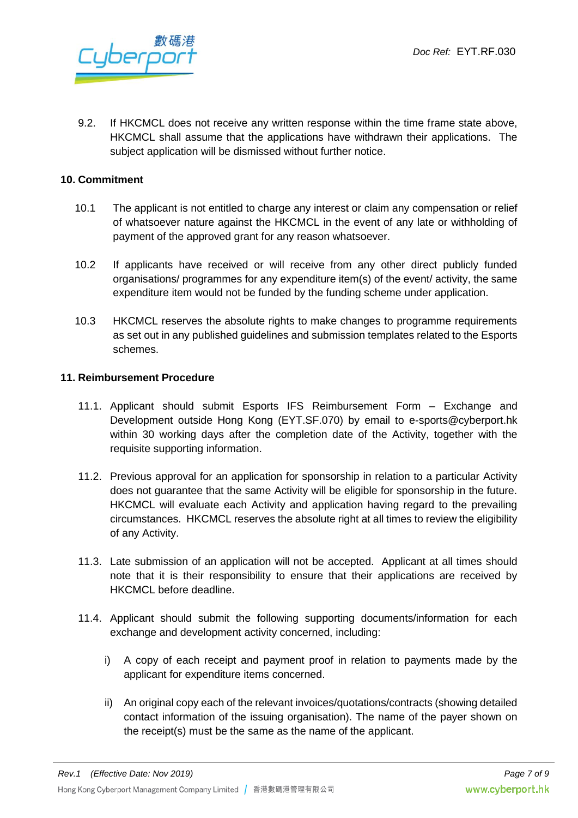

9.2. If HKCMCL does not receive any written response within the time frame state above, HKCMCL shall assume that the applications have withdrawn their applications. The subject application will be dismissed without further notice.

#### **10. Commitment**

- 10.1 The applicant is not entitled to charge any interest or claim any compensation or relief of whatsoever nature against the HKCMCL in the event of any late or withholding of payment of the approved grant for any reason whatsoever.
- 10.2 If applicants have received or will receive from any other direct publicly funded organisations/ programmes for any expenditure item(s) of the event/ activity, the same expenditure item would not be funded by the funding scheme under application.
- 10.3 HKCMCL reserves the absolute rights to make changes to programme requirements as set out in any published guidelines and submission templates related to the Esports schemes.

#### **11. Reimbursement Procedure**

- 11.1. Applicant should submit Esports IFS Reimbursement Form Exchange and Development outside Hong Kong (EYT.SF.070) by email to e-sports@cyberport.hk within 30 working days after the completion date of the Activity, together with the requisite supporting information.
- 11.2. Previous approval for an application for sponsorship in relation to a particular Activity does not guarantee that the same Activity will be eligible for sponsorship in the future. HKCMCL will evaluate each Activity and application having regard to the prevailing circumstances. HKCMCL reserves the absolute right at all times to review the eligibility of any Activity.
- 11.3. Late submission of an application will not be accepted. Applicant at all times should note that it is their responsibility to ensure that their applications are received by HKCMCL before deadline.
- 11.4. Applicant should submit the following supporting documents/information for each exchange and development activity concerned, including:
	- i) A copy of each receipt and payment proof in relation to payments made by the applicant for expenditure items concerned.
	- ii) An original copy each of the relevant invoices/quotations/contracts (showing detailed contact information of the issuing organisation). The name of the payer shown on the receipt(s) must be the same as the name of the applicant.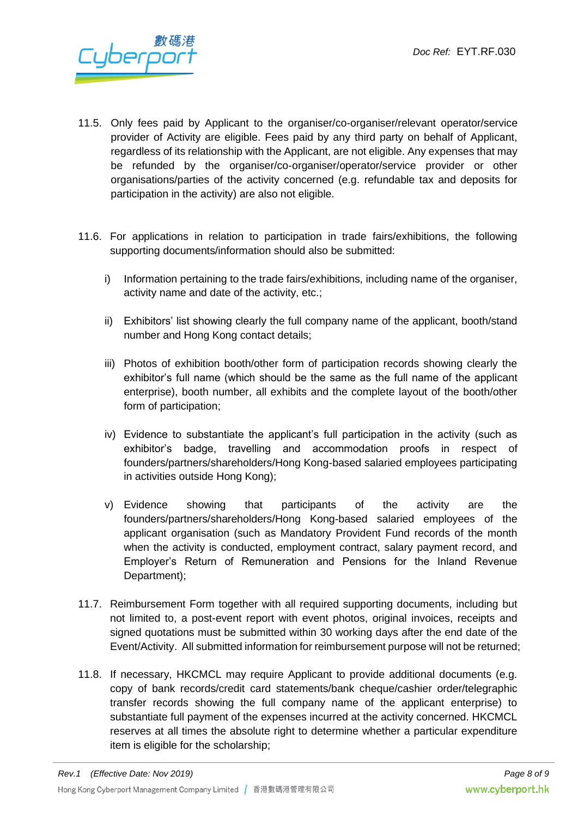

- 11.5. Only fees paid by Applicant to the organiser/co-organiser/relevant operator/service provider of Activity are eligible. Fees paid by any third party on behalf of Applicant, regardless of its relationship with the Applicant, are not eligible. Any expenses that may be refunded by the organiser/co-organiser/operator/service provider or other organisations/parties of the activity concerned (e.g. refundable tax and deposits for participation in the activity) are also not eligible.
- 11.6. For applications in relation to participation in trade fairs/exhibitions, the following supporting documents/information should also be submitted:
	- i) Information pertaining to the trade fairs/exhibitions, including name of the organiser, activity name and date of the activity, etc.;
	- ii) Exhibitors' list showing clearly the full company name of the applicant, booth/stand number and Hong Kong contact details;
	- iii) Photos of exhibition booth/other form of participation records showing clearly the exhibitor's full name (which should be the same as the full name of the applicant enterprise), booth number, all exhibits and the complete layout of the booth/other form of participation;
	- iv) Evidence to substantiate the applicant's full participation in the activity (such as exhibitor's badge, travelling and accommodation proofs in respect of founders/partners/shareholders/Hong Kong-based salaried employees participating in activities outside Hong Kong);
	- v) Evidence showing that participants of the activity are the founders/partners/shareholders/Hong Kong-based salaried employees of the applicant organisation (such as Mandatory Provident Fund records of the month when the activity is conducted, employment contract, salary payment record, and Employer's Return of Remuneration and Pensions for the Inland Revenue Department);
- 11.7. Reimbursement Form together with all required supporting documents, including but not limited to, a post-event report with event photos, original invoices, receipts and signed quotations must be submitted within 30 working days after the end date of the Event/Activity. All submitted information for reimbursement purpose will not be returned;
- 11.8. If necessary, HKCMCL may require Applicant to provide additional documents (e.g. copy of bank records/credit card statements/bank cheque/cashier order/telegraphic transfer records showing the full company name of the applicant enterprise) to substantiate full payment of the expenses incurred at the activity concerned. HKCMCL reserves at all times the absolute right to determine whether a particular expenditure item is eligible for the scholarship;